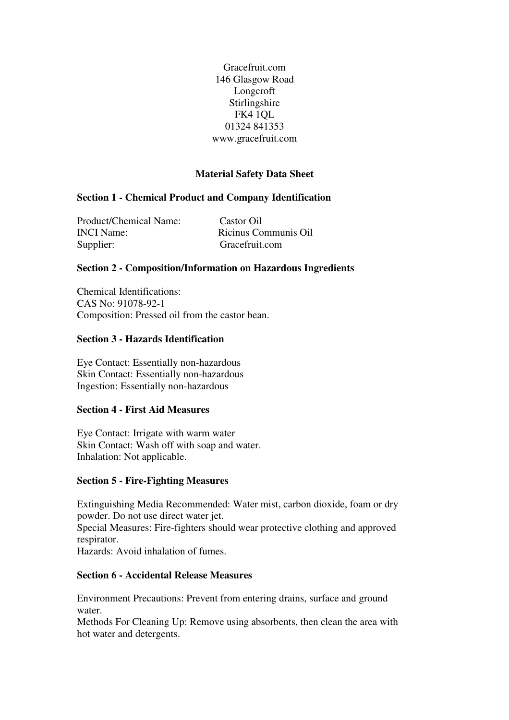Gracefruit.com 146 Glasgow Road Longcroft Stirlingshire FK4 1QL 01324 841353 www.gracefruit.com

# **Material Safety Data Sheet**

### **Section 1 - Chemical Product and Company Identification**

Product/Chemical Name: Castor Oil INCI Name: Ricinus Communis Oil Supplier: Gracefruit.com

### **Section 2 - Composition/Information on Hazardous Ingredients**

Chemical Identifications: CAS No: 91078-92-1 Composition: Pressed oil from the castor bean.

### **Section 3 - Hazards Identification**

Eye Contact: Essentially non-hazardous Skin Contact: Essentially non-hazardous Ingestion: Essentially non-hazardous

### **Section 4 - First Aid Measures**

Eye Contact: Irrigate with warm water Skin Contact: Wash off with soap and water. Inhalation: Not applicable.

### **Section 5 - Fire-Fighting Measures**

Extinguishing Media Recommended: Water mist, carbon dioxide, foam or dry powder. Do not use direct water jet.

Special Measures: Fire-fighters should wear protective clothing and approved respirator.

Hazards: Avoid inhalation of fumes.

### **Section 6 - Accidental Release Measures**

Environment Precautions: Prevent from entering drains, surface and ground water.

Methods For Cleaning Up: Remove using absorbents, then clean the area with hot water and detergents.